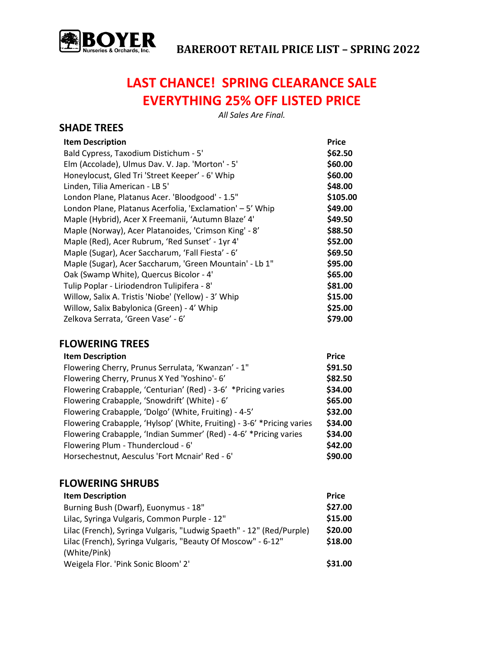

**SHADE TREES**

## **LAST CHANCE! SPRING CLEARANCE SALE EVERYTHING 25% OFF LISTED PRICE**

*All Sales Are Final.*

| <b>Item Description</b><br>Bald Cypress, Taxodium Distichum - 5'<br>Elm (Accolade), Ulmus Dav. V. Jap. 'Morton' - 5'<br>Honeylocust, Gled Tri 'Street Keeper' - 6' Whip<br>Linden, Tilia American - LB 5'<br>London Plane, Platanus Acer. 'Bloodgood' - 1.5"<br>London Plane, Platanus Acerfolia, 'Exclamation' - 5' Whip<br>Maple (Hybrid), Acer X Freemanii, 'Autumn Blaze' 4'<br>Maple (Norway), Acer Platanoides, 'Crimson King' - 8'<br>Maple (Red), Acer Rubrum, 'Red Sunset' - 1yr 4'<br>Maple (Sugar), Acer Saccharum, 'Fall Fiesta' - 6'<br>Maple (Sugar), Acer Saccharum, 'Green Mountain' - Lb 1"<br>Oak (Swamp White), Quercus Bicolor - 4'<br>Tulip Poplar - Liriodendron Tulipifera - 8'<br>Willow, Salix A. Tristis 'Niobe' (Yellow) - 3' Whip<br>Willow, Salix Babylonica (Green) - 4' Whip | Price<br>\$62.50<br>\$60.00<br>\$60.00<br>\$48.00<br>\$105.00<br>\$49.00<br>\$49.50<br>\$88.50<br>\$52.00<br>\$69.50<br>\$95.00<br>\$65.00<br>\$81.00<br>\$15.00<br>\$25.00 |
|-------------------------------------------------------------------------------------------------------------------------------------------------------------------------------------------------------------------------------------------------------------------------------------------------------------------------------------------------------------------------------------------------------------------------------------------------------------------------------------------------------------------------------------------------------------------------------------------------------------------------------------------------------------------------------------------------------------------------------------------------------------------------------------------------------------|-----------------------------------------------------------------------------------------------------------------------------------------------------------------------------|
|                                                                                                                                                                                                                                                                                                                                                                                                                                                                                                                                                                                                                                                                                                                                                                                                             |                                                                                                                                                                             |
| Zelkova Serrata, 'Green Vase' - 6'                                                                                                                                                                                                                                                                                                                                                                                                                                                                                                                                                                                                                                                                                                                                                                          | \$79.00                                                                                                                                                                     |

## **FLOWERING TREES**

| <b>Item Description</b>                                                | <b>Price</b> |
|------------------------------------------------------------------------|--------------|
| Flowering Cherry, Prunus Serrulata, 'Kwanzan' - 1"                     | \$91.50      |
| Flowering Cherry, Prunus X Yed 'Yoshino'- 6'                           | \$82.50      |
| Flowering Crabapple, 'Centurian' (Red) - 3-6' *Pricing varies          | \$34.00      |
| Flowering Crabapple, 'Snowdrift' (White) - 6'                          | \$65.00      |
| Flowering Crabapple, 'Dolgo' (White, Fruiting) - 4-5'                  | \$32.00      |
| Flowering Crabapple, 'Hylsop' (White, Fruiting) - 3-6' *Pricing varies | \$34.00      |
| Flowering Crabapple, 'Indian Summer' (Red) - 4-6' *Pricing varies      | \$34.00      |
| Flowering Plum - Thundercloud - 6'                                     | \$42.00      |
| Horsechestnut, Aesculus 'Fort Mcnair' Red - 6'                         | \$90.00      |

#### **FLOWERING SHRUBS**

| <b>Item Description</b>                                              | <b>Price</b> |
|----------------------------------------------------------------------|--------------|
| Burning Bush (Dwarf), Euonymus - 18"                                 | \$27.00      |
| Lilac, Syringa Vulgaris, Common Purple - 12"                         | \$15.00      |
| Lilac (French), Syringa Vulgaris, "Ludwig Spaeth" - 12" (Red/Purple) | \$20.00      |
| Lilac (French), Syringa Vulgaris, "Beauty Of Moscow" - 6-12"         | \$18.00      |
| (White/Pink)                                                         |              |
| Weigela Flor. 'Pink Sonic Bloom' 2'                                  | \$31.00      |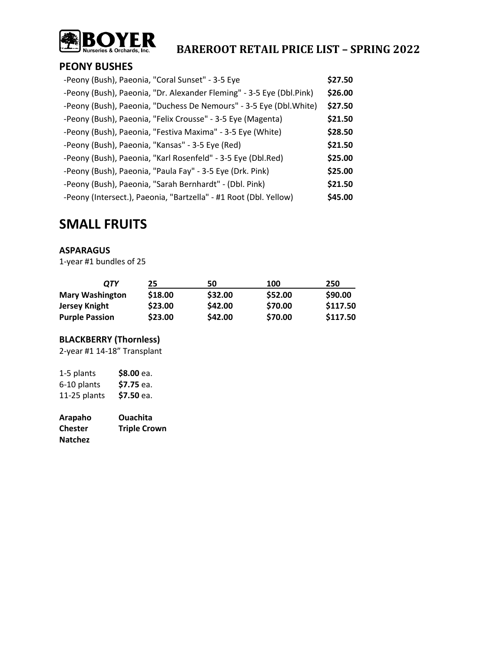

#### **PEONY BUSHES**

| -Peony (Bush), Paeonia, "Coral Sunset" - 3-5 Eye                     | \$27.50 |
|----------------------------------------------------------------------|---------|
| -Peony (Bush), Paeonia, "Dr. Alexander Fleming" - 3-5 Eye (Dbl.Pink) | \$26.00 |
| -Peony (Bush), Paeonia, "Duchess De Nemours" - 3-5 Eye (Dbl. White)  | \$27.50 |
| -Peony (Bush), Paeonia, "Felix Crousse" - 3-5 Eye (Magenta)          | \$21.50 |
| -Peony (Bush), Paeonia, "Festiva Maxima" - 3-5 Eye (White)           | \$28.50 |
| -Peony (Bush), Paeonia, "Kansas" - 3-5 Eye (Red)                     | \$21.50 |
| -Peony (Bush), Paeonia, "Karl Rosenfeld" - 3-5 Eye (Dbl.Red)         | \$25.00 |
| -Peony (Bush), Paeonia, "Paula Fay" - 3-5 Eye (Drk. Pink)            | \$25.00 |
| -Peony (Bush), Paeonia, "Sarah Bernhardt" - (Dbl. Pink)              | \$21.50 |
| -Peony (Intersect.), Paeonia, "Bartzella" - #1 Root (Dbl. Yellow)    | \$45.00 |

### **SMALL FRUITS**

#### **ASPARAGUS**

1-year #1 bundles of 25

| ОТҮ                    | 25      | 50      | 100     | 250      |
|------------------------|---------|---------|---------|----------|
| <b>Mary Washington</b> | \$18.00 | \$32.00 | \$52.00 | \$90.00  |
| Jersey Knight          | \$23.00 | \$42.00 | \$70.00 | \$117.50 |
| <b>Purple Passion</b>  | \$23.00 | \$42.00 | \$70.00 | \$117.50 |

#### **BLACKBERRY (Thornless)**

2-year #1 14-18" Transplant

| \$8.00 ea. |
|------------|
| \$7.75 ea. |
| \$7.50 ea. |
|            |

| Arapaho        | <b>Ouachita</b>     |
|----------------|---------------------|
| <b>Chester</b> | <b>Triple Crown</b> |
| <b>Natchez</b> |                     |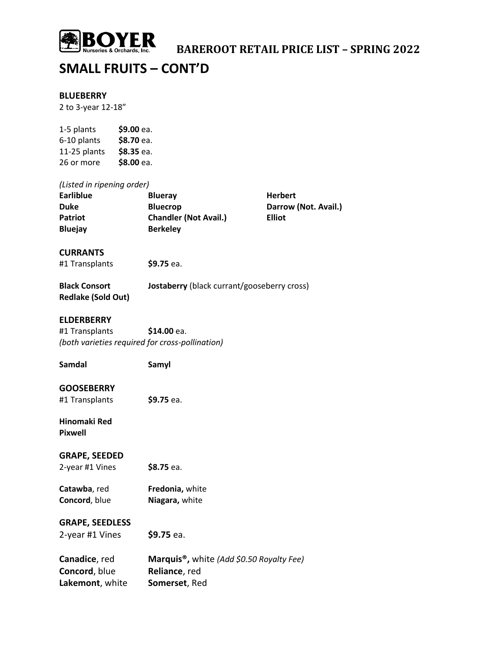

### **SMALL FRUITS – CONT'D**

#### **BLUEBERRY**

2 to 3-year 12-18"

| 1-5 plants   | \$9.00 ea. |
|--------------|------------|
| 6-10 plants  | \$8.70 ea. |
| 11-25 plants | \$8.35 ea. |
| 26 or more   | \$8.00 ea. |

#### *(Listed in ripening order)*

| <b>Blueray</b>               | Herb          |
|------------------------------|---------------|
| <b>Bluecrop</b>              | Darro         |
| <b>Chandler (Not Avail.)</b> | <b>Elliot</b> |
| <b>Berkeley</b>              |               |
|                              |               |

**Herbert Darrow (Not. Avail.)** 

#### **CURRANTS**

#1 Transplants **\$9.75** ea.

| <b>Black Consort</b>      | <b>Jostaberry</b> (black currant/gooseberry cross) |
|---------------------------|----------------------------------------------------|
| <b>Redlake (Sold Out)</b> |                                                    |

#### **ELDERBERRY**

#1 Transplants **\$14.00** ea. *(both varieties required for cross-pollination)*

**Samdal Samyl**

#### **GOOSEBERRY**

#1 Transplants **\$9.75** ea.

**Hinomaki Red Pixwell**

#### **GRAPE, SEEDED**

2-year #1 Vines **\$8.75** ea.

**Catawba**, red **Fredonia,** white **Concord**, blue **Niagara,** white

#### **GRAPE, SEEDLESS**

2-year #1 Vines **\$9.75** ea.

| Canadice, red   | Marquis <sup>®</sup> , white (Add \$0.50 Royalty Fee) |
|-----------------|-------------------------------------------------------|
| Concord, blue   | <b>Reliance, red</b>                                  |
| Lakemont, white | Somerset, Red                                         |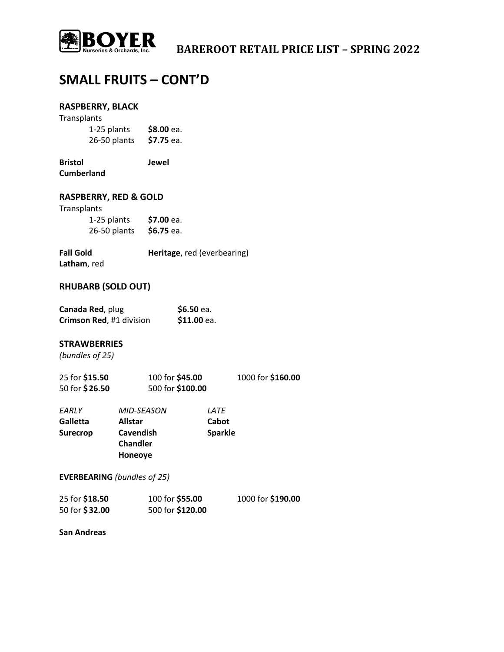

### **SMALL FRUITS – CONT'D**

#### **RASPBERRY, BLACK**

| Transplants  |            |
|--------------|------------|
| 1-25 plants  | \$8.00 ea. |
| 26-50 plants | \$7.75 ea. |

**Bristol Jewel Cumberland**

#### **RASPBERRY, RED & GOLD**

#### Transplants

| 1-25 plants  | \$7.00 ea. |
|--------------|------------|
| 26-50 plants | \$6.75 ea. |

**Fall Gold Heritage**, red (everbearing) **Latham**, red

#### **RHUBARB (SOLD OUT)**

| Canada Red, plug         | \$6.50 ea.  |
|--------------------------|-------------|
| Crimson Red, #1 division | \$11.00 ea. |

#### **STRAWBERRIES**

*(bundles of 25)*

| 25 for \$15.50 | 100 for \$45.00  | 1000 for \$160.00 |
|----------------|------------------|-------------------|
| 50 for \$26.50 | 500 for \$100.00 |                   |

| EARLY    | <b>MID-SEASON</b> | <i>LATE</i>    |
|----------|-------------------|----------------|
| Galletta | <b>Allstar</b>    | Cabot          |
| Surecrop | <b>Cavendish</b>  | <b>Sparkle</b> |
|          | <b>Chandler</b>   |                |
|          | Honeoye           |                |

#### **EVERBEARING** *(bundles of 25)*

| 25 for \$18.50 | 100 for \$55.00  | 1000 for \$190.00 |
|----------------|------------------|-------------------|
| 50 for \$32.00 | 500 for \$120.00 |                   |

**San Andreas**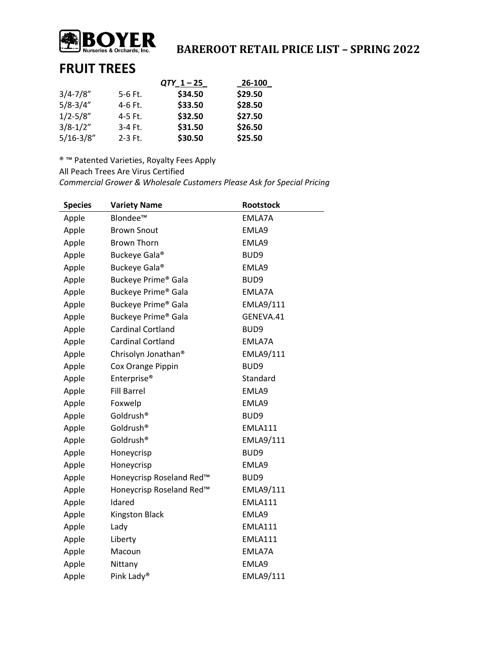

# **BOOYER**<br>Nurseries & Orchards, Inc.<br> **BAREROOT RETAIL PRICE LIST – SPRING 2022**

### **FRUIT TREES**

|               |           | $QTY_1 - 25$ | 26-100  |
|---------------|-----------|--------------|---------|
| $3/4 - 7/8"$  | $5-6$ Ft. | \$34.50      | \$29.50 |
| $5/8 - 3/4"$  | 4-6 Ft.   | \$33.50      | \$28.50 |
| $1/2 - 5/8"$  | 4-5 Ft.   | \$32.50      | \$27.50 |
| $3/8 - 1/2"$  | 3-4 Ft.   | \$31.50      | \$26.50 |
| $5/16 - 3/8"$ | $2-3$ Ft. | \$30.50      | \$25.50 |

® ™ Patented Varieties, Royalty Fees Apply

All Peach Trees Are Virus Certified

*Commercial Grower & Wholesale Customers Please Ask for Special Pricing*

| <b>Species</b> | <b>Variety Name</b>             | <b>Rootstock</b> |
|----------------|---------------------------------|------------------|
| Apple          | Blondee™                        | EMLA7A           |
| Apple          | <b>Brown Snout</b>              | EMLA9            |
| Apple          | <b>Brown Thorn</b>              | EMLA9            |
| Apple          | Buckeye Gala®                   | BUD <sub>9</sub> |
| Apple          | Buckeye Gala®                   | EMLA9            |
| Apple          | Buckeye Prime® Gala             | BUD9             |
| Apple          | Buckeye Prime <sup>®</sup> Gala | EMLA7A           |
| Apple          | Buckeye Prime® Gala             | <b>EMLA9/111</b> |
| Apple          | Buckeye Prime® Gala             | GENEVA.41        |
| Apple          | <b>Cardinal Cortland</b>        | BUD9             |
| Apple          | <b>Cardinal Cortland</b>        | EMLA7A           |
| Apple          | Chrisolyn Jonathan <sup>®</sup> | EMLA9/111        |
| Apple          | Cox Orange Pippin               | BUD <sub>9</sub> |
| Apple          | Enterprise <sup>®</sup>         | Standard         |
| Apple          | <b>Fill Barrel</b>              | EMLA9            |
| Apple          | Foxwelp                         | EMLA9            |
| Apple          | Goldrush <sup>®</sup>           | BUD9             |
| Apple          | Goldrush <sup>®</sup>           | <b>EMLA111</b>   |
| Apple          | Goldrush <sup>®</sup>           | EMLA9/111        |
| Apple          | Honeycrisp                      | BUD9             |
| Apple          | Honeycrisp                      | EMLA9            |
| Apple          | Honeycrisp Roseland Red™        | BUD9             |
| Apple          | Honeycrisp Roseland Red™        | EMLA9/111        |
| Apple          | Idared                          | <b>EMLA111</b>   |
| Apple          | <b>Kingston Black</b>           | EMLA9            |
| Apple          | Lady                            | <b>EMLA111</b>   |
| Apple          | Liberty                         | <b>EMLA111</b>   |
| Apple          | Macoun                          | EMLA7A           |
| Apple          | Nittany                         | EMLA9            |
| Apple          | Pink Lady®                      | EMLA9/111        |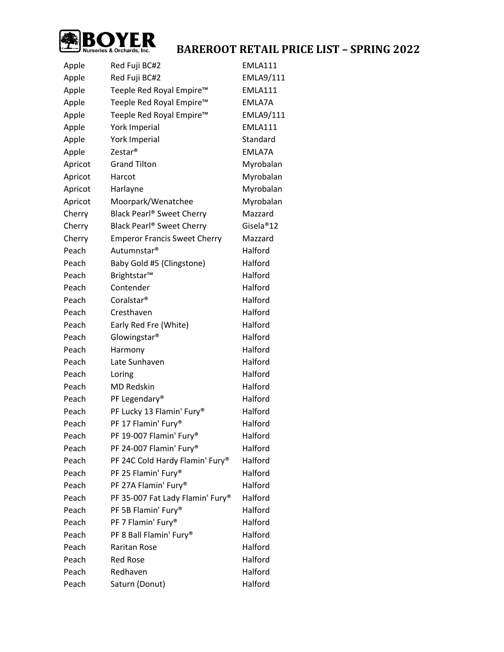

| Apple   | Red Fuji BC#2                         | <b>EMLA111</b>   |
|---------|---------------------------------------|------------------|
| Apple   | Red Fuji BC#2                         | <b>EMLA9/111</b> |
| Apple   | Teeple Red Royal Empire™              | <b>EMLA111</b>   |
| Apple   | Teeple Red Royal Empire™              | EMLA7A           |
| Apple   | Teeple Red Royal Empire™              | <b>EMLA9/111</b> |
| Apple   | York Imperial                         | <b>EMLA111</b>   |
| Apple   | York Imperial                         | Standard         |
| Apple   | Zestar <sup>®</sup>                   | EMLA7A           |
| Apricot | <b>Grand Tilton</b>                   | Myrobalan        |
| Apricot | Harcot                                | Myrobalan        |
| Apricot | Harlayne                              | Myrobalan        |
| Apricot | Moorpark/Wenatchee                    | Myrobalan        |
| Cherry  | Black Pearl <sup>®</sup> Sweet Cherry | Mazzard          |
| Cherry  | Black Pearl <sup>®</sup> Sweet Cherry | Gisela®12        |
| Cherry  | <b>Emperor Francis Sweet Cherry</b>   | Mazzard          |
| Peach   | Autumnstar <sup>®</sup>               | Halford          |
| Peach   | Baby Gold #5 (Clingstone)             | Halford          |
| Peach   | Brightstar™                           | Halford          |
| Peach   | Contender                             | Halford          |
| Peach   | Coralstar <sup>®</sup>                | Halford          |
| Peach   | Cresthaven                            | Halford          |
| Peach   | Early Red Fre (White)                 | Halford          |
| Peach   | Glowingstar <sup>®</sup>              | Halford          |
| Peach   | Harmony                               | Halford          |
| Peach   | Late Sunhaven                         | Halford          |
| Peach   | Loring                                | Halford          |
| Peach   | <b>MD Redskin</b>                     | Halford          |
| Peach   | PF Legendary®                         | Halford          |
| Peach   | PF Lucky 13 Flamin' Fury®             | Halford          |
| Peach   | PF 17 Flamin' Fury®                   | Halford          |
| Peach   | PF 19-007 Flamin' Fury®               | Halford          |
| Peach   | PF 24-007 Flamin' Fury®               | Halford          |
| Peach   | PF 24C Cold Hardy Flamin' Fury®       | Halford          |
| Peach   | PF 25 Flamin' Fury®                   | Halford          |
| Peach   | PF 27A Flamin' Fury®                  | Halford          |
| Peach   | PF 35-007 Fat Lady Flamin' Fury®      | Halford          |
| Peach   | PF 5B Flamin' Fury®                   | Halford          |
| Peach   | PF 7 Flamin' Fury®                    | Halford          |
| Peach   | PF 8 Ball Flamin' Fury®               | Halford          |
| Peach   | Raritan Rose                          | Halford          |
| Peach   | <b>Red Rose</b>                       | Halford          |
| Peach   | Redhaven                              | Halford          |
| Peach   | Saturn (Donut)                        | Halford          |